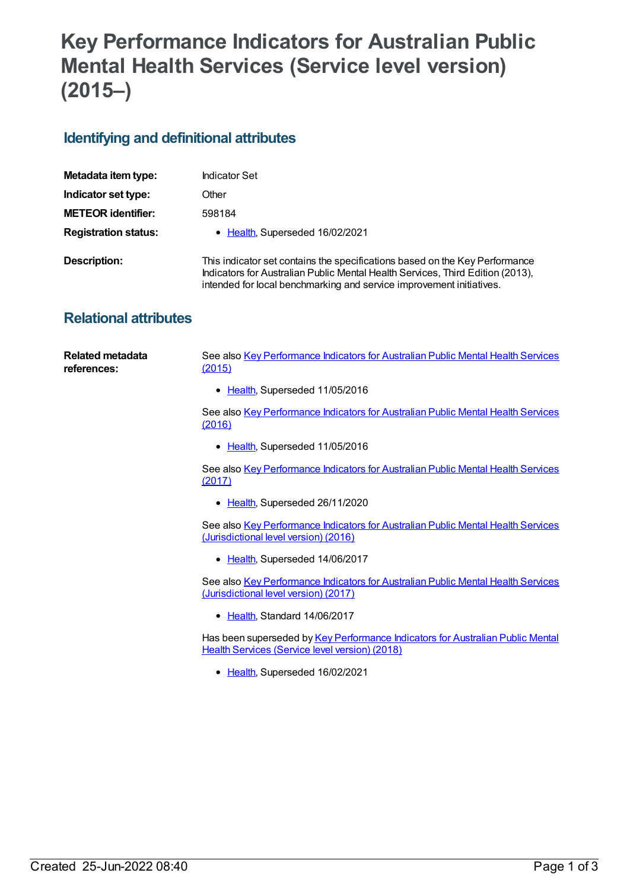## **Key Performance Indicators for Australian Public Mental Health Services (Service level version) (2015–)**

## **Identifying and definitional attributes**

| Metadata item type:         | <b>Indicator Set</b>                                                                                                                                                                                                                  |
|-----------------------------|---------------------------------------------------------------------------------------------------------------------------------------------------------------------------------------------------------------------------------------|
| Indicator set type:         | Other                                                                                                                                                                                                                                 |
| <b>METEOR identifier:</b>   | 598184                                                                                                                                                                                                                                |
| <b>Registration status:</b> | • Health, Superseded 16/02/2021                                                                                                                                                                                                       |
| <b>Description:</b>         | This indicator set contains the specifications based on the Key Performance<br>Indicators for Australian Public Mental Health Services, Third Edition (2013),<br>intended for local benchmarking and service improvement initiatives. |

## **Relational attributes**

| Related metadata<br>references: | See also Key Performance Indicators for Australian Public Mental Health Services<br><u>(2015)</u> |
|---------------------------------|---------------------------------------------------------------------------------------------------|
|                                 | • Health, Superseded 11/05/2016                                                                   |
|                                 | See also Key Performance Indicators for Australian Public Mental Health Services<br>(2016)        |
|                                 | • Health, Superseded 11/05/2016                                                                   |

See also Key [Performance](https://meteor.aihw.gov.au/content/664057) Indicators for Australian Public Mental Health Services (2017)

• [Health](https://meteor.aihw.gov.au/RegistrationAuthority/12), Superseded 26/11/2020

See also Key [Performance](https://meteor.aihw.gov.au/content/630262) Indicators for Australian Public Mental Health Services (Jurisdictional level version) (2016)

• [Health](https://meteor.aihw.gov.au/RegistrationAuthority/12), Superseded 14/06/2017

See also Key [Performance](https://meteor.aihw.gov.au/content/661511) Indicators for Australian Public Mental Health Services (Jurisdictional level version) (2017)

• [Health](https://meteor.aihw.gov.au/RegistrationAuthority/12), Standard 14/06/2017

Has been superseded by Key [Performance](https://meteor.aihw.gov.au/content/693108) Indicators for Australian Public Mental Health Services (Service level version) (2018)

• [Health](https://meteor.aihw.gov.au/RegistrationAuthority/12), Superseded 16/02/2021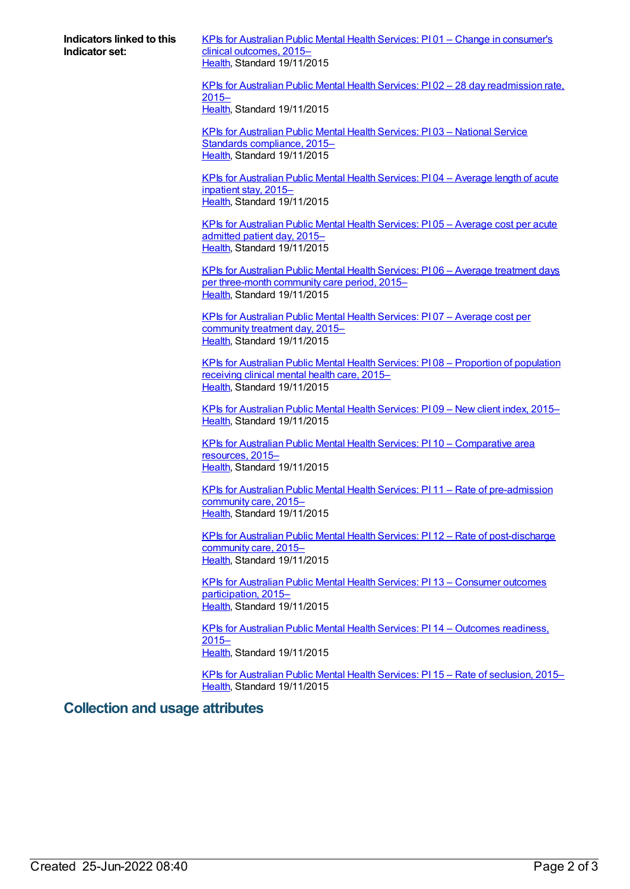**Indicators linked to this Indicator set:**

KPIs for Australian Public Mental Health Services: PI 01 – Change in [consumer's](https://meteor.aihw.gov.au/content/584024) clinical outcomes, 2015-[Health](https://meteor.aihw.gov.au/RegistrationAuthority/12), Standard 19/11/2015

KPIs for Australian Public Mental Health Services: PI 02 – 28 day [readmission](https://meteor.aihw.gov.au/content/584044) rate, 2015– [Health](https://meteor.aihw.gov.au/RegistrationAuthority/12), Standard 19/11/2015

KPIs for [Australian](https://meteor.aihw.gov.au/content/596823) Public Mental Health Services: PI 03 – National Service Standards compliance, 2015– [Health](https://meteor.aihw.gov.au/RegistrationAuthority/12), Standard 19/11/2015

KPIs for [Australian](https://meteor.aihw.gov.au/content/584068) Public Mental Health Services: PI 04 – Average length of acute inpatient stay, 2015– [Health](https://meteor.aihw.gov.au/RegistrationAuthority/12), Standard 19/11/2015

KPIs for [Australian](https://meteor.aihw.gov.au/content/583849) Public Mental Health Services: PI 05 – Average cost per acute admitted patient day, 2015– [Health](https://meteor.aihw.gov.au/RegistrationAuthority/12), Standard 19/11/2015

KPIs for Australian Public Mental Health Services: PI 06 – Average treatment days per [three-month](https://meteor.aihw.gov.au/content/584195) community care period, 2015– [Health](https://meteor.aihw.gov.au/RegistrationAuthority/12), Standard 19/11/2015

KPIs for [Australian](https://meteor.aihw.gov.au/content/584220) Public Mental Health Services: PI 07 – Average cost per community treatment day, 2015– [Health](https://meteor.aihw.gov.au/RegistrationAuthority/12), Standard 19/11/2015

KPIs for Australian Public Mental Health Services: PI 08 – [Proportion](https://meteor.aihw.gov.au/content/584223) of population receiving clinical mental health care, 2015– [Health](https://meteor.aihw.gov.au/RegistrationAuthority/12), Standard 19/11/2015

KPIs for [Australian](https://meteor.aihw.gov.au/content/584234) Public Mental Health Services: PI 09 – New client index, 2015– [Health](https://meteor.aihw.gov.au/RegistrationAuthority/12), Standard 19/11/2015

KPIs for Australian Public Mental Health Services: PI 10 – [Comparative](https://meteor.aihw.gov.au/content/596812) area resources, 2015– [Health](https://meteor.aihw.gov.au/RegistrationAuthority/12), Standard 19/11/2015

KPIs for Australian Public Mental Health Services: PI 11 – Rate of [pre-admission](https://meteor.aihw.gov.au/content/584236) community care, 2015– [Health](https://meteor.aihw.gov.au/RegistrationAuthority/12), Standard 19/11/2015

KPIs for Australian Public Mental Health Services: PI 12 – Rate of [post-discharge](https://meteor.aihw.gov.au/content/584238) community care, 2015– [Health](https://meteor.aihw.gov.au/RegistrationAuthority/12), Standard 19/11/2015

KPIs for Australian Public Mental Health Services: PI 13 – Consumer outcomes [participation,](https://meteor.aihw.gov.au/content/596814) 2015– [Health](https://meteor.aihw.gov.au/RegistrationAuthority/12), Standard 19/11/2015

KPIs for Australian Public Mental Health Services: PI 14 – [Outcomes](https://meteor.aihw.gov.au/content/584245) readiness, 2015– [Health](https://meteor.aihw.gov.au/RegistrationAuthority/12), Standard 19/11/2015

KPIs for [Australian](https://meteor.aihw.gov.au/content/584248) Public Mental Health Services: PI 15 – Rate of seclusion, 2015– [Health](https://meteor.aihw.gov.au/RegistrationAuthority/12), Standard 19/11/2015

## **Collection and usage attributes**